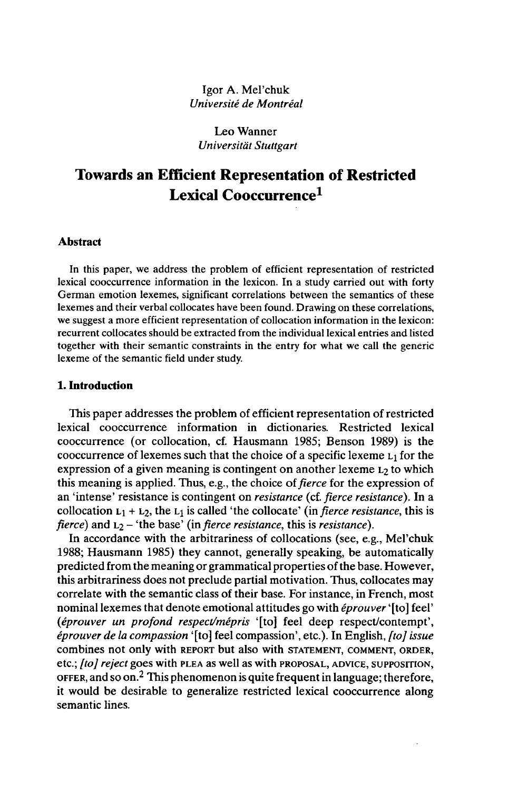### Leo Wanner *Universität Stuttgart*

# **Towards an Efficient Representation of Restricted Lexical Cooccurrence<sup>1</sup>**

#### **Abstract**

In this paper, we address the problem of efficient representation of restricted lexical cooccurrence information in the lexicon. In a study carried out with forty German emotion lexemes, significant correlations between the semantics of these lexemes and their verbal collocates have been found. Drawing on these correlations, we suggest a more efficient representation of collocation information in the lexicon: recurrent collocates should be extracted from the individual lexical entries and listed together with their semantic constraints in the entry for what we call the generic lexeme of the semantic field under study.

#### **1. Introduction**

This paper addresses the problem of efficient representation of restricted lexical cooccurrence information in dictionaries. Restricted lexical cooccurrence (or collocation, cf. Hausmann 1985; Benson 1989) is the cooccurrence of lexemes such that the choice of a specific lexeme  $L_1$  for the expression of a given meaning is contingent on another lexeme  $L<sub>2</sub>$  to which this meaning is applied. Thus, e.g., the choice of*fierce* for the expression of an 'intense' resistance is contingent on *resistance* (cf. *fierce resistance).* In a collocation  $L_1 + L_2$ , the  $L_1$  is called 'the collocate' (in *fierce resistance*, this is *fierce*) and  $L_2$  – 'the base' (in *fierce resistance*, this is *resistance*).

In accordance with the arbitrariness of collocations (see, e.g., Mel'chuk 1988; Hausmann 1985) they cannot, generally speaking, be automatically predicted from the meaning or grammatical properties of the base. However, this arbitrariness does not preclude partial motivation. Thus, collocates may correlate with the semantic class of their base. For instance, in French, most nominallexemes that denote emotional attitudes go with *éprouver* '[to] feel' *(éprouver un profond respect/mépris* '[to] feel deep respect/contempt', *éprouver de la compassion* '[to] feel compassion', etc.). In English, *[to] issue* combines not only with REPORT but also with STATEMENT, COMMENT, ORDER, etc.; *[to] reject* goes with PLEA as well as with PROPOSAL, ADVICE, SUPPOSITION, OFFER, and so on.<sup>2</sup> This phenomenon is quite frequentin language; therefore, it would be desirable to generalize restricted lexical cooccurrence along semantic lines.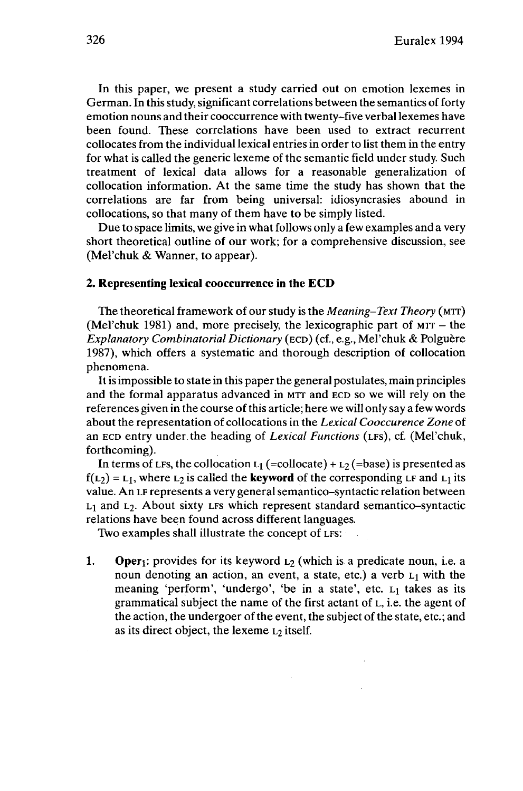In this paper, we present a study carried out on emotion lexemes in German. In this study, significant correlations between the semantics of forty emotion nouns and their cooccurrence with twenty-five verballexemes have been found. These correlations have been used to extract recurrent collocates from the individuallexical entries in order to list them in the entry for what is called the generic lexeme of the semantic field under study. Such treatment of lexical data allows for a reasonable generalization of collocation information. At the same time the study has shown that the correlations are far from being universal: idiosyncrasies abound in collocations, so that many of them have to be simply listed.

Due to space limits, we give in what follows only a few examples and a very short theoretical outline of our work; for a comprehensive discussion, see (Mel'chuk & Wanner, to appear).

#### **2. Representing lexical cooccurrence in the ECD**

The theoretical framework of our study is the *Meaning-Text Theory* (MTT) (Mel'chuk 1981) and, more precisely, the lexicographic part of  $MT -$  the *Explanatory Combinatorial Dictionary* (ECD) (cf., e.g., Mel'chuk & Polguère 1987), which offers a systematic and thorough description of collocation phenomena.

Itis impossible to state in this paper the general postulates, main principles and the formal apparatus advanced in MTT and ECD so we will rely on the references given in the course of this article; here we will only say a few words aboutthe representation of collocations in the *Lexical Cooccurence Zone* of an ECD entry under, the heading of *Lexical Functions* (LFS), cf. (Mel'chuk, forthcoming).

In terms of LFs, the collocation  $L_1$  (=collocate) +  $L_2$  (=base) is presented as  $f(L_2) = L_1$ , where  $L_2$  is called the **keyword** of the corresponding LF and  $L_1$  its value. An LF represents a very general semantico-syntactic relation between  $L_1$  and  $L_2$ . About sixty LFs which represent standard semantico-syntactic relations have been found across different languages.

Two examples shall illustrate the concept of LFS:

1. **Oper**<sub>1</sub>: provides for its keyword  $L_2$  (which is a predicate noun, i.e. a noun denoting an action, an event, a state, etc.) a verb  $L_1$  with the meaning 'perform', 'undergo', 'be in a state', etc.  $L_1$  takes as its grammatical subject the name of the first actant of L, i.e. the agent of the action, the undergoer of the event, the subject of the state, etc.; and as its direct object, the lexeme  $L_2$  itself.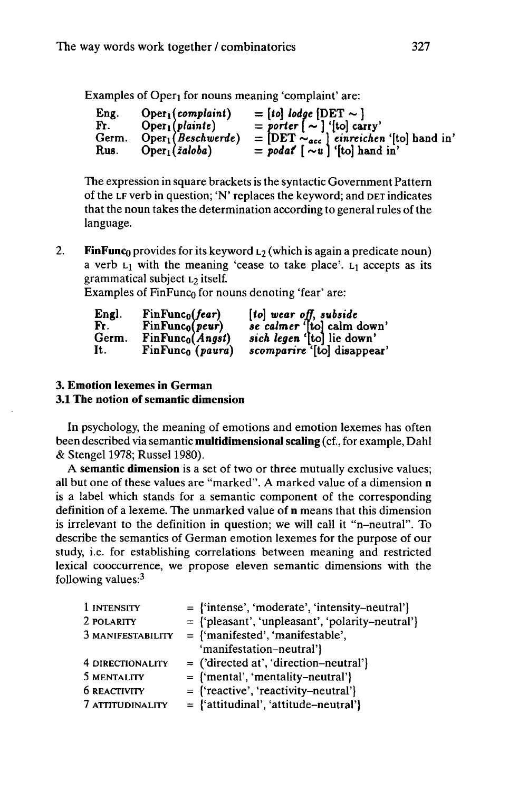Examples of Oper<sub>1</sub> for nouns meaning 'complaint' are:

| Eng.  | $\text{Oper}_1$ (complaint)     | $=$ [to] lodge [DET $\sim$ ]                      |
|-------|---------------------------------|---------------------------------------------------|
| Fr.   | $\text{Oper}_1(\text{plainte})$ | $=$ porter $\sim$ $\vert \sim \vert$ '[to] carry' |
| Germ. | $Oper1(\textit{Beschwerde})$    | $=$ [DET $\sim_{acc}$ ] einreichen '[to] hand in' |
| Rus.  | $\text{Oper}_1(\text{zaloba})$  | $=$ podat' $[\sim u]$ '[to] hand in'              |

The expression in square brackets is the syntactic Government Pattern of the LF verb in question; 'N' replaces the keyword; and DET indicates that the noun takes the determination according to general rules of the language.

2. **FinFunc**<sup>0</sup> provides for its keyword  $L_2$  (which is again a predicate noun) a verb  $L_1$  with the meaning 'cease to take place'.  $L_1$  accepts as its grammatical subject  $L<sub>2</sub>$  itself.

Examples of  $F\in$  Fin $F\in$ <sub>0</sub> for nouns denoting 'fear' are:

| Engl. | $\mathbf{FinFunc}_0(fear)$         | $[to]$ wear off, subside    |
|-------|------------------------------------|-----------------------------|
| Fr.   | $FinFunc_0(\textit{peur})$         | se calmer '[to] calm down'  |
| Germ. | $\text{FinFunc}_0(\textit{Angst})$ | sich legen '[to] lie down'  |
| It.   | $FinFunc_0$ (paura)                | scomparire '[to] disappear' |

#### **3. Emotion lexemes in German 3.1 The notion ofsemantic dimension**

**In** psychology, the meaning of emotions and emotion lexemes has often been described via semantic **multidimensional scaling** (cf., for example, Dahl & Stengel 1978; Rüssel 1980).

A **semantic dimension** is a set of two or three mutually exclusive values; all but one of these values are "marked". A marked value of a dimension **n** is a label which stands for a semantic component of the corresponding definition of a lexeme. The unmarked value of **n** means that this dimension is irrelevant to the definition in question; we will call it "n-neutral". To describe the semantics of German emotion lexemes for the purpose of our study, i.e. for establishing correlations between meaning and restricted lexical cooccurrence, we propose eleven semantic dimensions with the following values:<sup>3</sup>

| 1 INTENSITY         | = {'intense', 'moderate', 'intensity-neutral'}   |
|---------------------|--------------------------------------------------|
| 2 POLARITY          | = {'pleasant', 'unpleasant', 'polarity-neutral'} |
| 3 MANIFESTABILITY   | $=$ {'manifested', 'manifestable',               |
|                     | 'manifestation-neutral'}                         |
| 4 DIRECTIONALITY    | $=$ ('directed at', 'direction-neutral')         |
| 5 MENTALITY         | $=$ {'mental', 'mentality-neutral'}              |
| <b>6 REACTIVITY</b> | $=$ {'reactive', 'reactivity-neutral'}           |
| 7 ATTITUDINALITY    | = {'attitudinal', 'attitude-neutral'}            |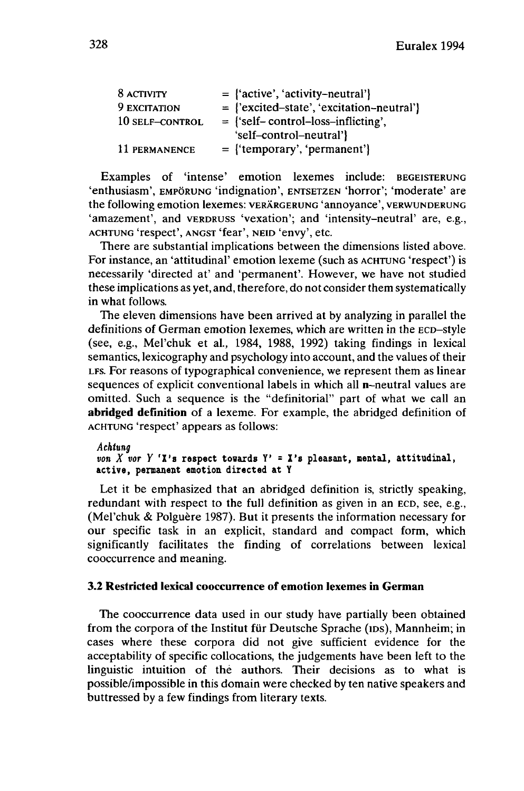| 8 activity      | $=$ {'active', 'activity-neutral'}          |
|-----------------|---------------------------------------------|
| 9 EXCITATION    | $=$ {'excited-state', 'excitation-neutral'} |
| 10 SELF-CONTROL | $=$ {'self-control-loss-inflicting',        |
|                 | 'self-control-neutral'}                     |
| 11 PERMANENCE   | $=$ {'temporary', 'permanent'}              |

Examples of 'intense' emotion lexemes include: BEGEISTERUNG 'enthusiasm', EMPöRUNG 'indignation', ENTSETZEN 'horror'; 'moderate' are the following emotion lexemes: VERäRGERUNG 'annoyance', VERWUNDERUNG 'amazement', and VERDRUSS 'vexation'; and 'intensity-neutral' are, e.g., ACHTUNG 'respect', ANGST 'fear', NEID 'envy', etc.

There are substantial implications between the dimensions listed above. For instance, an 'attitudinal' emotion lexeme (such as ACHTUNG 'respect') is necessarily 'directed at' and 'permanent'. However, we have not studied these implications as yet, and, therefore, do not consider them systematically in what follows.

The eleven dimensions have been arrived at by analyzing in parallel the definitions of German emotion lexemes, which are written in the ECD-style (see, e.g., Mel'chuk et al., 1984, 1988, 1992) taking findings in lexical semantics, lexicography and psychology into account, and the values of their LFs. For reasons of typographical convenience, we represent them as linear sequences of explicit conventional labels in which all n-neutral values are omitted. Such a sequence is the "definitorial" part of what we call an abridged definition of a lexeme. For example, the abridged definition of ACHTUNG 'respect' appears as follows:

#### *Achtung*

#### *von*  $X$  *vor*  $Y$  ' $X$ 's respect towards  $Y' = X$ 's pleasant, mental, attitudinal, active, permanent emotion directed at <sup>Y</sup>

Let it be emphasized that an abridged definition is, strictly speaking, redundant with respect to the full definition as given in an ECD, see, e.g., (Mel'chuk & Polguère 1987). But it presents the information necessary for our specific task in an explicit, standard and compact form, which significantly facilitates the finding of correlations between lexical cooccurrence and meaning.

#### 3.2 Restricted lexical cooccurrence of emotion lexemes in German

The cooccurrence data used in our study have partially been obtained from the corpora of the Institut für Deutsche Sprache (IDS), Mannheim; in cases where these corpora did not give sufficient evidence for the acceptability of specific collocations, the judgements have been left to the linguistic intuition of thé authors. Their decisions as to what is possible/impossible in this domain were checked by ten native speakers and buttressed by a few findings from literary texts.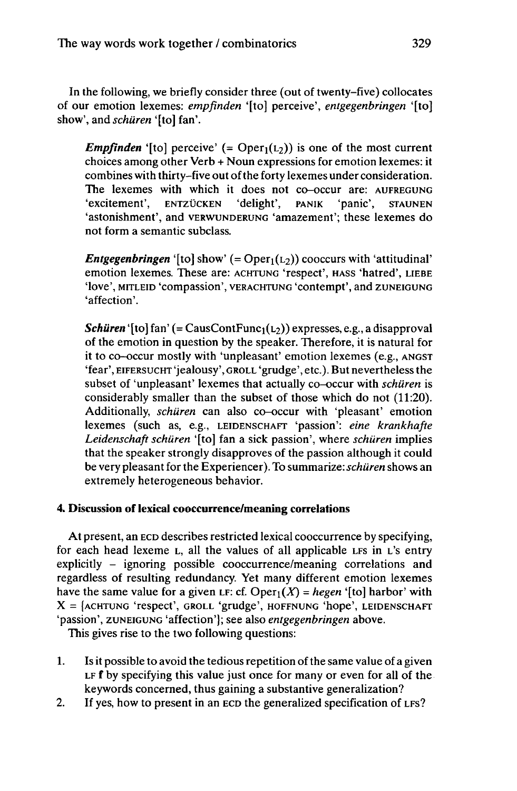In the following, we briefly consider three (out of twenty-five) collocates of our emotion lexemes: *empfinden* '[to] perceive', *entgegenbringen* '[to] show', and *schüren* '[to] fan'.

*Empfinden* '[to] perceive'  $(= \text{Oper}_1(L_2))$  is one of the most current choices among other Verb + Noun expressions for emotion lexemes: it combines with thirty-five out of the forty lexemes under consideration. The lexemes with which it does not co-occur are: AUFREGUNG 'excitement', ENTZüCKEN 'delight', PANIK 'panic', STAUNEN 'astonishment', and VERWUNDERUNG 'amazement'; these lexemes do not form a semantic subclass.

*Entgegenbringen* '[to] show'  $(=Oper_1(L_2))$  cooccurs with 'attitudinal' emotion lexemes. These are: ACHTUNG 'respect', HASS 'hatred', LIEBE 'love', MITLEID 'compassion', VERACHTUNG 'contempt', and ZUNEIGUNG 'affection'.

*Schüren* '[to] fan' (= CausContFunc<sub>1</sub>( $L_2$ )) expresses, e.g., a disapproval of the emotion in question by the speaker. Therefore, it is natural for it to co-occur mostly with 'unpleasant' emotion lexemes (e.g., ANGST 'fear', EIFERSUCHT 'jealousy', GROLL 'grudge', etc.). But nevertheless the subset of 'unpleasant' lexemes that actually co-occur with *schüren* is considerably smaller than the subset of those which do not (11:20). Additionally, *schüren* can also co-occur with 'pleasant' emotion lexemes (such as, e.g., LEIDENSCHAFT 'passion': *eine krankhafte Leidenschaft schüren* '[to] fan a sick passion', where *schüren* implies that the speaker strongly disapproves of the passion although it could be very pleasant for the Experiencer). To summarize:*schüren* shows an extremely heterogeneous behavior.

### **4. Discussion oflexical cooccurrence/meaning correlations**

At present, an ECD describes restricted lexical cooccurrence by specifying, for each head lexeme L, all the values of all applicable LFS in L'S entry explicitly - ignoring possible cooccurrence/meaning correlations and regardless of resulting redundancy. Yet many different emotion lexemes have the same value for a given LF: cf. Oper<sub>1</sub> $(X)$  = *hegen* '[to] harbor' with  $X =$ {ACHTUNG 'respect', GROLL 'grudge', HOFFNUNG 'hope', LEIDENSCHAFT 'passion', ZUNEIGUNG 'affection'); see also *entgegenbringen* above.

This gives rise to the two following questions:

- 1. Is it possible to avoid the tedious repetition of the same value of a given LF f by specifying this value just once for many or even for all of the keywords concerned, thus gaining a substantive generalization?
- 2. If yes, how to present in an ECD the generalized specification of LFS?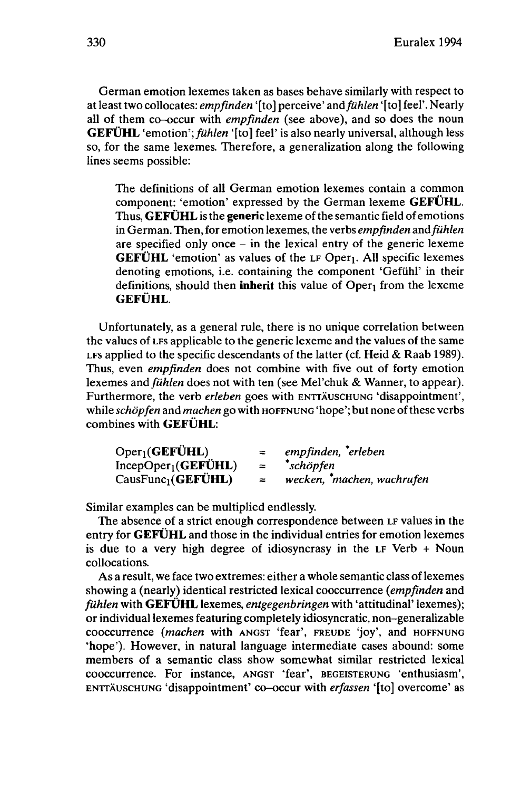German emotion lexemes taken as bases behave similarly with respect to atleasttwo collocates: *empfinden* '[to] perceive' *anafühlen* '[to] feel'. Nearly all of them co-occur with *empfinden* (see above), and so does the noun **GEFÜHL** 'emotion';*fühlen* '[to] feel' is also nearly universal, although less so, for the same lexemes. Therefore, a generalization along the following lines seems possible:

The definitions of all German emotion lexemes contain a common component: 'emotion' expressed by the German lexeme **GEFÜHL.** Thus, **GEFÜHL** is the **generic** lexeme ofthe semantic field of emotions in German. Then, for emotion lexemes, the verbs *empfinden* and*fühlen* are specified only once - in the lexical entry of the generic lexeme **GEFÜHL** 'emotion' as values of the LF Oper<sub>1</sub>. All specific lexemes denoting emotions, i.e. containing the component 'Gefühl' in their definitions, should then **inherit** this value of Oper<sub>1</sub> from the lexeme **GEFÜHL.**

Unfortunately, as a general rule, there is no unique correlation between the values of LFS applicable to the generic lexeme and the values of the same LFS applied to the specific descendants of the latter (cf. Heid & Raab 1989). Thus, even *empfinden* does not combine with five out of forty emotion lexemes and *fühlen* does not with ten (see Mel'chuk & Wanner, to appear). Furthermore, the verb *erleben* goes with ENTTäUSCHUNG 'disappointment', while *schöpfen* and *machen* go with **HOFFNUNG** 'hope'; but none of these verbs combines with **GEFÜHL:**

| $Oper_1$ (GEFÜHL)                        | $\equiv$ . | empfinden, *erleben        |
|------------------------------------------|------------|----------------------------|
| IncepOper <sub>1</sub> ( <b>GEFÜHL</b> ) | $=$        | $\cdot$ schöpfen           |
| CausFunc <sub>1</sub> ( <b>GEFÜHL</b> )  | $=$        | wecken, *machen, wachrufen |

Similar examples can be multiplied endlessly.

The absence of a strict enough correspondence between LF values in the entry for **GEFÜHL** and those in the individual entries for emotion lexemes is due to a very high degree of idiosyncrasy in the LF Verb  $+$  Noun collocations.

As a result, we face two extremes: either a whole semantic class of lexemes showing a (nearly) identical restricted lexical cooccurrence *{empfinden* and *fühlen* with **GEFÜHL** lexemes, *entgegenbringen* with 'attitudinal' lexemes); or individual lexemes featuring completely idiosyncratic, non-generalizable cooccurrence *{machen* with ANGST 'fear', FREUDE 'joy', and HOFFNUNG 'hope'). However, in natural language intermediate cases abound: some members of a semantic class show somewhat similar restricted lexical cooccurrence. For instance, ANGST 'fear', BEGEISTERUNG 'enthusiasm', ENTTäUSCHUNG 'disappointment' co-occur with *erfassen* '[to] overcome' as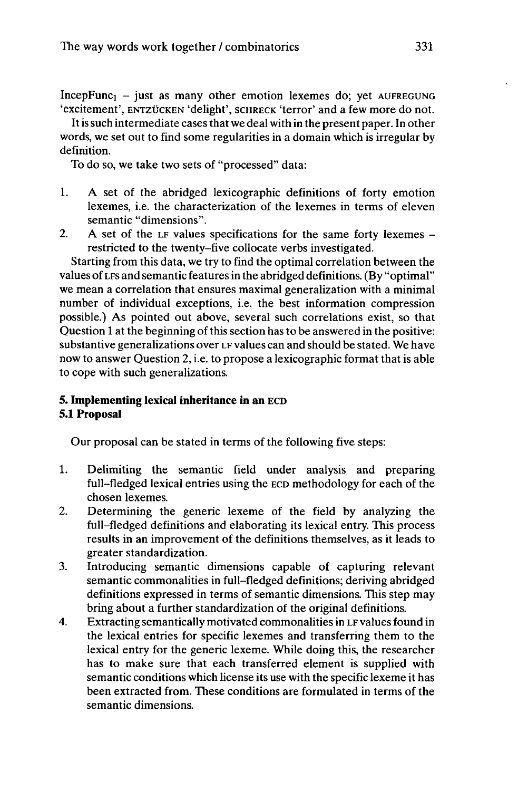IncepFunc<sub>1</sub> – just as many other emotion lexemes do; yet AUFREGUNG 'excitement', ENTZüCKEN 'delight', SCHRECK 'terror' and a few more do not.

It is such intermediate cases that we deal with in the present paper. In other words, we set out to find some regularities in a domain which is irregular by definition.

To do so, we take two sets of "processed" data:

- 1. A set of the abridged lexicographic definitions of forty emotion lexemes, i.e. the characterization of the lexemes in terms of eleven semantic "dimensions".
- 2. A set of the LF values specifications for the same forty lexemes restricted to the twenty-five collocate verbs investigated.

Starting from this data, we try to find the optimal correlation between the values of LFS and semantic features in the abridged definitions. (By "optimal" we mean a correlation that ensures maximal generalization with a minimal number of individual exceptions, i.e. the best information compression possible.) As pointed out above, several such correlations exist, so that Question 1 at the beginning of this section has to be answered in the positive: substantive generalizations over LF values can and should be stated. We have now to answer Question 2, i.e. to propose a lexicographic format that is able to cope with such generalizations.

### **5. Implementing lexical inheritance in an** ECD **5.1 Proposal**

Our proposal can be stated in terms of the following five steps:

- 1. Delimiting the semantic field under analysis and preparing full-fledged lexical entries using the ECD methodology for each of the chosen lexemes.
- 2. Determining the generic lexeme of the field by analyzing the full-fledged definitions and elaborating its lexical entry. This process results in an improvement of the definitions themselves, as it leads to greater standardization.
- 3. Introducing semantic dimensions capable of capturing relevant semantic commonalities in full-fledged definitions; deriving abridged definitions expressed in terms of semantic dimensions. This step may bring about a further standardization of the original definitions.
- 4. Extracting semantically motivated commonalities in LF valuesfound in the lexical entries for specific lexemes and transferring them to the lexical entry for the generic lexeme. While doing this, the researcher has to make sure that each transferred element is supplied with semantic conditions which license its use with the specific lexeme it has been extracted from. These conditions are formulated in terms of the semantic dimensions.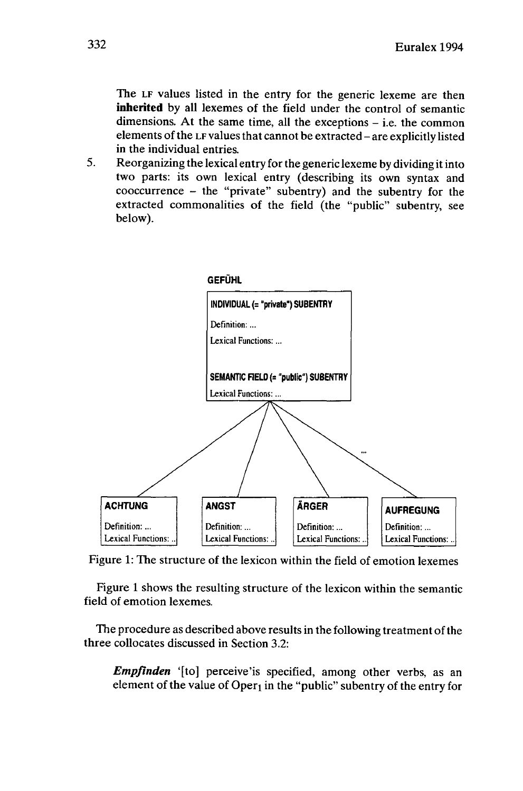The LF values listed in the entry for the generic lexeme are then **inherited** by all lexemes of the field under the control of semantic dimensions. At the same time, all the exceptions – i.e. the common elements of the LF values that cannot be extracted – are explicitly listed in the individual entries.

5. Reorganizing the lexical entry for the generic lexeme by dividing it into two parts: its own lexical entry (describing its own syntax and cooccurrence - the "private" subentry) and the subentry for the extracted commonalities of the field (the "public" subentry, see below).



Figure 1: The structure of the lexicon within the field of emotion lexemes

Figure <sup>1</sup> shows the resulting structure of the lexicon within the semantic field of emotion lexemes.

The procedure as described above results in the following treatment of the three collocates discussed in Section 3.2:

*Empfinden* '[to] perceive'is specified, among other verbs, as an element of the value of  $Oper_1$  in the "public" subentry of the entry for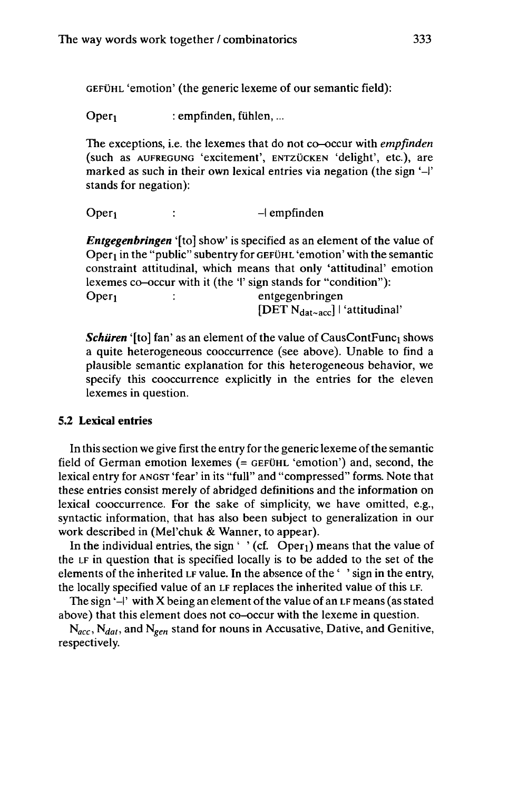GEFüHL 'emotion' (the generic lexeme of our semantic field):

Oper<sub>1</sub> : empfinden, fühlen, ...

The exceptions, i.e. the lexemes that do not co-occur with *empfinden* (such as AUFREGUNG 'excitement', ENTZüCKEN 'delight', etc.), are marked as such in their own lexical entries via negation (the sign '-I' stands for negation):

Oper<sub>1</sub> :  $-1$  empfinden

*Entgegenbringen* '[to] show' is specified as an element of the value of Oper<sub>1</sub> in the "public" subentry for GEFÜHL 'emotion' with the semantic constraint attitudinal, which means that only 'attitudinal' emotion lexemes co-occur with it (the 'I' sign stands for "condition"): Oper<sub>1</sub> : entgegenbringen [DET Ndat\_acc] <sup>I</sup> 'attitudinal'

**Schüren** '[to] fan' as an element of the value of CausContFunc<sub>1</sub> shows a quite heterogeneous cooccurrence (see above). Unable to find a plausible semantic explanation for this heterogeneous behavior, we specify this cooccurrence explicitly in the entries for the eleven lexemes in question.

#### **5.2 Lexical entries**

In this section we give first the entry for the generic lexeme of the semantic field of German emotion lexemes (= GEFüHL 'emotion') and, second, the lexical entry for ANGST 'fear' in its "full" and "compressed" forms. Note that these entries consist merely of abridged definitions and the information on lexical cooccurrence. For the sake of simplicity, we have omitted, e.g., syntactic information, that has also been subject to generalization in our work described in (Mel'chuk & Wanner, to appear).

In the individual entries, the sign '  $\cdot$  (cf. Oper<sub>1</sub>) means that the value of the LF in question that is specified locally is to be added to the set of the elements of the inherited LF value. In the absence of the ' ' sign in the entry, the locally specified value of an LF replaces the inherited value of this LF.

The sign  $-1$ ' with X being an element of the value of an LF means (as stated above) that this element does not co-occur with the lexeme in question.

Nacc, *Ndat,* and *Ngen* stand for nouns in Accusative, Dative, and Genitive, respectively.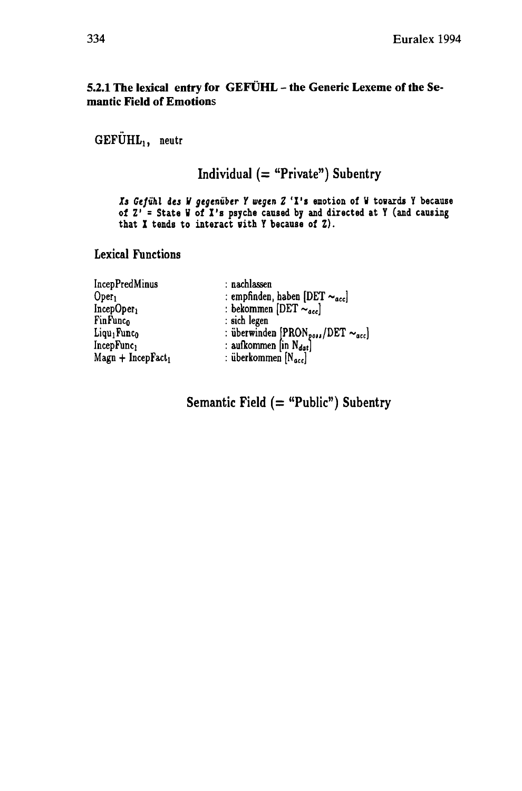### **5.2.1 The lexical entry for GEFÜHL - the Generic Lexeme of the Semantic Field of Emotions**

**GEFÜHL!, neutr**

**Individual (= "Private") Subentry**

*Xs Gefühl its <sup>V</sup> gegenüber <sup>Y</sup> wegen <sup>Z</sup>* **'X's emotion of <sup>V</sup> towards <sup>Y</sup> because ol Z\* = State V of Z's psyche caused by and directed at Y (and causing that X tends to interact with Y because of Z).**

### **Lexical Functions**

**IncepPredMinus : nachlassen Opeti : empfinden, haben [DET ~•ec] IncepOperi : bekommen [DET ~aee] FinFunco : sich legen**  $\begin{bmatrix}\n\text{Liqu1} \text{Func}_0 \\
\text{IncepFunc}_1\n\end{bmatrix}$ :  $\begin{bmatrix}\n\text{iberwinden} \text{ } [\text{PRON}_{post}/\text{DET} \sim_{acc}]\n\end{bmatrix}$ **2 i aufkommen**  $\begin{bmatrix} \mathbf{N}_{\text{det}} \\ \mathbf{N}_{\text{det}} \end{bmatrix}$  $\text{Magn} + \text{Incept}$ 

**Semantic Field (= "Public") Subentry**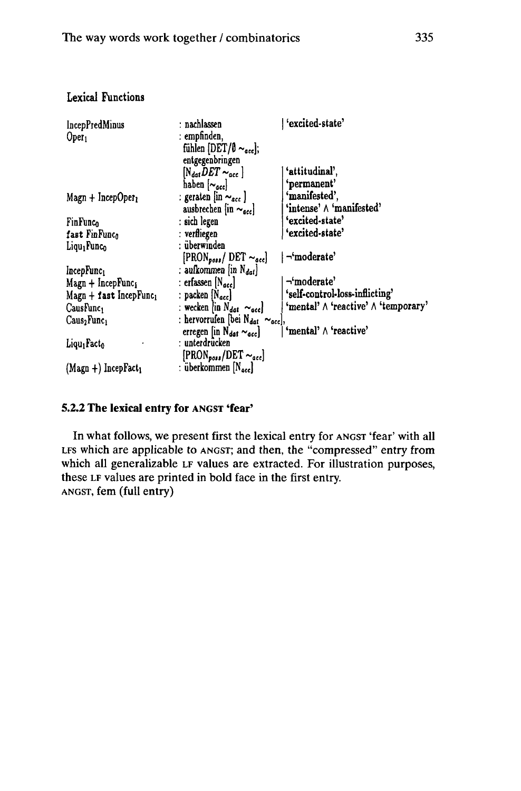| IncepPredMinus<br>Oper <sub>1</sub> | : nachlassen<br>: empfinden,<br>fühlen $[DET/\emptyset \sim_{acc}];$<br>entgegenbringen | 'excited-state'                    |
|-------------------------------------|-----------------------------------------------------------------------------------------|------------------------------------|
|                                     | $[N_{dat}$ DET $\sim_{acc}$                                                             | 'attitudinal',                     |
|                                     | haben $[\sim_{acc}]$                                                                    | 'permanent'                        |
| $\text{Magn} + \text{IncepOper}_1$  | : geraten [in $\sim_{acc}$ ]                                                            | 'manifested',                      |
|                                     | ausbrechen [in $\sim_{acc}$ ]                                                           | 'intense' $\wedge$ 'manifested'    |
| FinFunco                            | : sich legen                                                                            | 'excited-state'                    |
| fast FinFunco                       | : verfliegen                                                                            | 'excited-state'                    |
| Liqu <sub>1</sub> Func <sub>0</sub> | : überwinden                                                                            |                                    |
|                                     | $[PRON_{\textit{pos}}/$ DET $\sim_{\textit{acc}}]$                                      | ¬'moderate'                        |
| IncepFunc1                          | : aufkommen [in $N_{dat}$ ]                                                             |                                    |
| $Magn + IncepFunci$                 | : erfassen $[N_{acc}]$                                                                  | n'moderate'−                       |
| Magn + fast IncepFunc1              | : packen $[N_{acc}]$                                                                    | 'self-control-loss-inflicting'     |
| CausFunc1                           | : wecken $\left[\text{in } N_{dat} \sim_{acc}\right]$                                   | 'mental' A 'reactive' A 'temporary |
| Caus <sub>2</sub> Func <sub>1</sub> | : hervorrufen [bei N <sub>dat</sub> $\sim_{acc}$ ],                                     |                                    |
|                                     | erregen [in $N_{dat} \sim_{acc}$ ]                                                      | 'mental' ∧ 'reactive'              |
| Liqu <sub>1</sub> Fact <sub>0</sub> | : unterdrücken                                                                          |                                    |
|                                     | $[PRON_{\textit{pos1}}/DET \sim_{acc}]$                                                 |                                    |
| $(Magn +) Inceptact1$               | : überkommen $[N_{\text{acc}}]$                                                         |                                    |

# Lexical Functions

### 5.2.2 **The lexical entry for** ANGST **'fear'**

In what follows, we present first the lexical entry for ANGST 'fear' with all LFS which are applicable to ANGST; and then, the "compressed" entry from which all generalizable LF values are extracted. For illustration purposes, these LF values are printed in bold face in the first entry. ANGST, fern (full entry)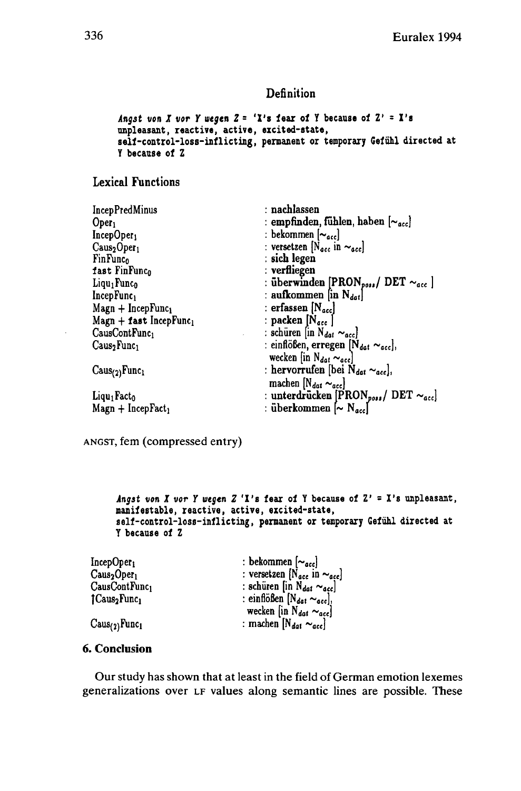## **Definition**

```
Angst von X vor Y wegen Z = 'X's fear of Y because of Z' = X's
unpleasant, reactive, active, excited-state,
self-control-loss-inflicting, permanent or temporary Gefühl directed at
Y because of Z
```
**Lexical Functions**

| <b>IncepPredMinus</b>               | : nachlassen                                              |
|-------------------------------------|-----------------------------------------------------------|
| Oper <sub>1</sub>                   | : empfinden, fühlen, haben $[\sim_{acc}]$                 |
| IncepOper <sub>1</sub>              | : bekommen $[\sim_{acc}]$                                 |
| Caus <sub>2</sub> Oper <sub>1</sub> | : versetzen $[\dot{N}_{acc} \text{ in } \sim_{acc}]$      |
| FinFunc <sub>0</sub>                | : sich legen                                              |
| fast FinFunco                       | : verfliegen                                              |
| Liqu <sub>1</sub> Func <sub>0</sub> | : überwinden [PRON <sub>poss</sub> / DET $\sim_{acc}$ ]   |
| IncepFunc <sub>1</sub>              | : aufkommen [in $N_{dat}$ ]                               |
| $Magn + IncepFunc1$                 | : erfassen $[N_{acc}]$                                    |
| $Magn + fast IncepFunc1$            | : packen $[\tilde{N}_{acc}]$                              |
| CausContFunc1                       | : schüren [in $N_{dat} \sim_{acc}$ ]                      |
| Caus <sub>2</sub> Func <sub>1</sub> | : einflößen, erregen $[N_{dat} \sim_{acc}],$              |
|                                     | wecken [in $N_{dat} \sim_{acc}$ ]                         |
| $Caus_{(2)}Func_1$                  | : hervorrufen [bei N <sub>dat</sub> $\sim_{acc}$ ],       |
|                                     | machen $[N_{dat} \sim_{acc}]$                             |
| $Liqu_1Fact_0$                      | : unterdrücken [PRON <sub>poss</sub> / DET $\sim_{acc}$ ] |
| $Magn + Inceptact1$                 | : überkommen $\sim N_{acc}$                               |
|                                     |                                                           |

**ANGST, fem (compressed entry)**

*Angst von X vor <sup>Y</sup> wegen 2* **'X's fear of <sup>Y</sup> because of Z' <sup>=</sup> X's unpleasant, manifestable, reactive, active, excited-state, self-control-loss-inflicting, permanent or temporary Gefühl directed at <sup>Y</sup> because of <sup>Z</sup>**

| IncepOper <sub>1</sub>    | : bekommen $[\sim_{acc}]$               |
|---------------------------|-----------------------------------------|
| Caus2Oper <sub>1</sub>    | : versetzen $[N_{acc}$ in $\sim_{acc}]$ |
| CausContFunc <sub>1</sub> | : schüren [in $N_{dat} \sim_{ace}$ ]    |
| fCaus2Func1               | : einflößen $[N_{dat} \sim_{acc}],$     |
|                           | wecken [in $N_{dat} \sim_{acc}$ ]       |
| $\rm Caus_{(2)}Func_1$    | : machen $[N_{dat} \sim_{acc}]$         |

### **6. Conclusion**

**Our study has shown that at least in the field of German emotion lexemes generalizations over LF values along semantic lines are possible. These**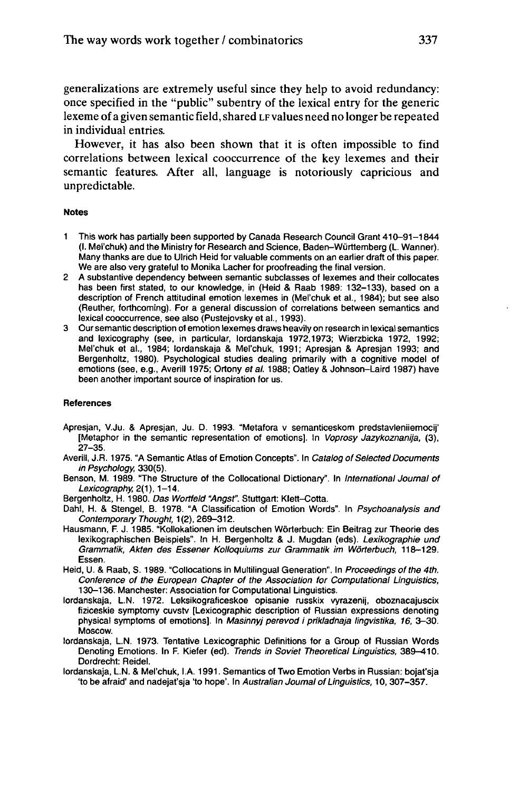generalizations are extremely useful since they help to avoid redundancy: once specified in the "public" subentry of the lexical entry for the generic lexeme of a given semantic field,shared LF values need no longer be repeated in individual entries.

However, it has also been shown that it is often impossible to find correlations between lexical cooccurrence of the key lexemes and their semantic features. After all, language is notoriously capricious and unpredictable.

#### **Notes**

- <sup>1</sup> This work has partially been supported by Canada Research Council Grant 410-91-1844 (I. Mel'chuk) and the Ministry for Research and Science, Baden-Württemberg (L. Wanner). Many thanks are due to Ulrich Heid for valuable comments on an earlier draft of this paper. We are also very grateful to Monika Lacher for proofreading the final version.
- 2 A substantive dependency between semantic subclasses of lexemes and their collocates has been first stated, to our knowledge, in (Heid & Raab 1989: 132-133), based on a description of French attitudinal emotion lexemes in (Mel'chuk et al., 1984); but see also (Reuther, forthcoming). For a general discussion of correlations between semantics and lexical cooccurrence, see also (Pustejovsky et al., 1993).
- 3 Our semantic description of emotion lexemes draws heavily on research in lexical semantics and lexicography (see, in particular, lordanskaja 1972,1973; Wierzbicka 1972, 1992; Mel'chuk et al., 1984; lordanskaja & Mel'chuk, 1991; Apresjan & Apresjan 1993; and Bergenholtz, 1980). Psychological studies dealing primarily with a cognitive model of emotions (see, e.g., Averill 1975; Ortony et al. 1988; Oatley & Johnson-Laird 1987) have been another important source of inspiration for us.

#### **References**

- Apresjan, V.Ju. & Apresjan, Ju. D. 1993. "Metafora v semanticeskom predstavleniiemocij' [Metaphor in the semantic representation of emotions]. In Voprosy Jazykoznanija, (3), 27-35.
- Averill, J.R. 1975. "A Semantic Atlas of Emotion Concepts". In Catalog of Selected Documents in Psychology, 330(5).
- Benson, M. 1989. "The Structure of the Collocational Dictionary". In International Journal of Lexicography,  $2(1)$ ,  $1-14$ .
- Bergenholtz, H. 1980. Das Wortfeld "Angst". Stuttgart: Klett-Cotta.
- Dahl, H. & Stengel, B. 1978. "A Classification of Emotion Words". In Psychoanalysis and Contemporary Thought, 1(2), 269-312.
- Hausmann, F. J. 1985. "Kollokationen im deutschen Wörterbuch: Ein Beitrag zur Theorie des lexikographischen Beispiels". In H. Bergenholtz & J. Mugdan (eds). Lexikographie und Grammatik, Akten des Essener Kolloquiums zur Grammatik im Wörterbuch, 118-129. Essen.
- Heid, U. & Raab, S. 1989. "Collocations in Multilingual Generation". In Proceedings of the 4th. Conference of the European Chapter of the Association for Computational Linguistics, 130-136. Manchester: Association for Computational Linguistics,
- lordanskaja, L.N. 1972. Leksikograficeskoe opisanie russkix vyrazenij, oboznacajuscix fiziceskie symptomy cuvstv [Lexicographic description of Russian expressions denoting physical symptoms of emotions]. In Masinnyj perevod i prikladnaja lingvistika, 16, 3-30. Moscow,
- lordanskaja, L.N. 1973. Tentative Lexicographic Definitions for a Group of Russian Words Denoting Emotions. In F. Kiefer (ed). Trends in Soviet Theoretical Linguistics, 389-410. Dordrecht: Reidel.
- lordanskaja, L.N. & Mel'chuk, I.A. 1991. Semantics of Two Emotion Verbs in Russian: bojat'sja 'to be afraid' and nadejat'sja 'to hope'. In Australian Journal of Linguistics, 10,307-357.